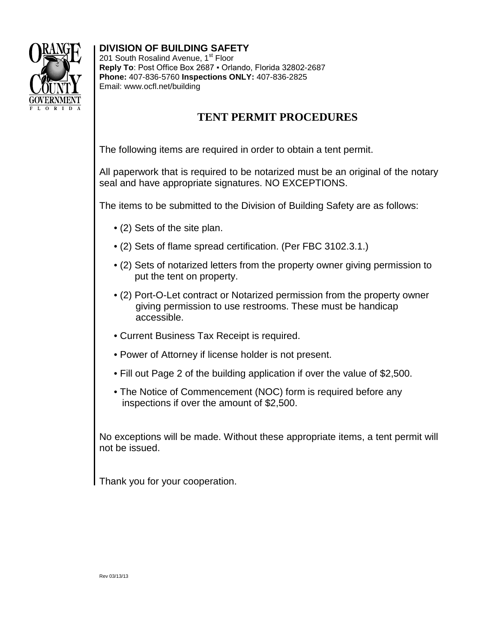

## **DIVISION OF BUILDING SAFETY**

201 South Rosalind Avenue, 1<sup>st</sup> Floor **Reply To**: Post Office Box 2687 ▪ Orlando, Florida 32802-2687 **Phone:** 407-836-5760 **Inspections ONLY:** 407-836-2825 Email: www.ocfl.net/building

## **TENT PERMIT PROCEDURES**

The following items are required in order to obtain a tent permit.

All paperwork that is required to be notarized must be an original of the notary seal and have appropriate signatures. NO EXCEPTIONS.

The items to be submitted to the Division of Building Safety are as follows:

- (2) Sets of the site plan.
- (2) Sets of flame spread certification. (Per FBC 3102.3.1.)
- (2) Sets of notarized letters from the property owner giving permission to put the tent on property.
- (2) Port-O-Let contract or Notarized permission from the property owner giving permission to use restrooms. These must be handicap accessible.
- Current Business Tax Receipt is required.
- Power of Attorney if license holder is not present.
- Fill out Page 2 of the building application if over the value of \$2,500.
- The Notice of Commencement (NOC) form is required before any inspections if over the amount of \$2,500.

No exceptions will be made. Without these appropriate items, a tent permit will not be issued.

Thank you for your cooperation.